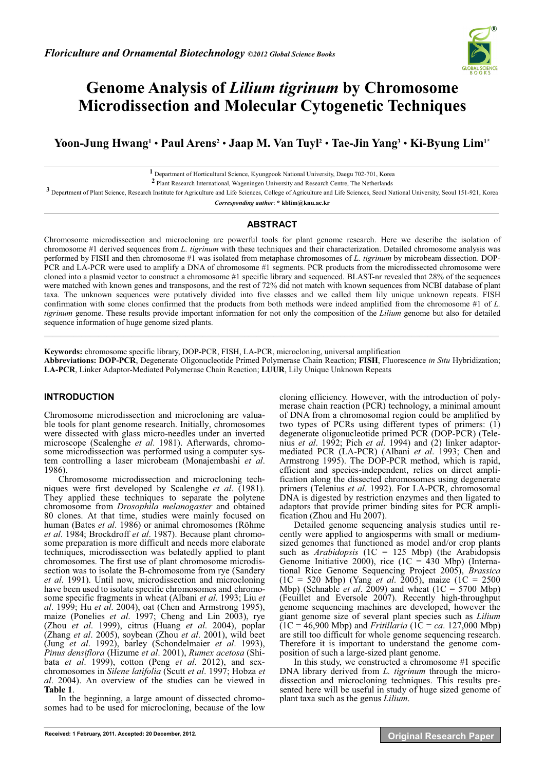

# **Genome Analysis of** *Lilium tigrinum* **by Chromosome Microdissection and Molecular Cytogenetic Techniques**

**Yoon-Jung Hwang1** • **Paul Arens2** • **Jaap M. Van Tuyl2** • **Tae-Jin Yang3** • **Ki-Byung Lim1\***

**1** Department of Horticultural Science, Kyungpook National University, Daegu 702-701, Korea

**2** Plant Research International, Wageningen University and Research Centre, The Netherlands

**3** Department of Plant Science, Research Institute for Agriculture and Life Sciences, College of Agriculture and Life Sciences, Seoul National University, Seoul 151-921, Korea

*Corresponding author*: **\* kblim@knu.ac.kr** 

## **ABSTRACT**

Chromosome microdissection and microcloning are powerful tools for plant genome research. Here we describe the isolation of chromosome #1 derived sequences from *L. tigrinum* with these techniques and their characterization. Detailed chromosome analysis was performed by FISH and then chromosome #1 was isolated from metaphase chromosomes of *L. tigrinum* by microbeam dissection. DOP-PCR and LA-PCR were used to amplify a DNA of chromosome #1 segments. PCR products from the microdissected chromosome were cloned into a plasmid vector to construct a chromosome #1 specific library and sequenced. BLAST-nr revealed that 28% of the sequences were matched with known genes and transposons, and the rest of 72% did not match with known sequences from NCBI database of plant taxa. The unknown sequences were putatively divided into five classes and we called them lily unique unknown repeats. FISH confirmation with some clones confirmed that the products from both methods were indeed amplified from the chromosome #1 of *L. tigrinum* genome. These results provide important information for not only the composition of the *Lilium* genome but also for detailed sequence information of huge genome sized plants.  $\mathcal{L}_\mathcal{L} = \{ \mathcal{L}_\mathcal{L} = \{ \mathcal{L}_\mathcal{L} = \{ \mathcal{L}_\mathcal{L} = \{ \mathcal{L}_\mathcal{L} = \{ \mathcal{L}_\mathcal{L} = \{ \mathcal{L}_\mathcal{L} = \{ \mathcal{L}_\mathcal{L} = \{ \mathcal{L}_\mathcal{L} = \{ \mathcal{L}_\mathcal{L} = \{ \mathcal{L}_\mathcal{L} = \{ \mathcal{L}_\mathcal{L} = \{ \mathcal{L}_\mathcal{L} = \{ \mathcal{L}_\mathcal{L} = \{ \mathcal{L}_\mathcal{$ 

**Keywords:** chromosome specific library, DOP-PCR, FISH, LA-PCR, microcloning, universal amplification **Abbreviations: DOP-PCR**, Degenerate Oligonucleotide Primed Polymerase Chain Reaction; **FISH**, Fluorescence *in Situ* Hybridization; **LA-PCR**, Linker Adaptor-Mediated Polymerase Chain Reaction; **LUUR**, Lily Unique Unknown Repeats

# **INTRODUCTION**

Chromosome microdissection and microcloning are valuable tools for plant genome research. Initially, chromosomes were dissected with glass micro-needles under an inverted microscope (Scalenghe *et al*. 1981). Afterwards, chromosome microdissection was performed using a computer system controlling a laser microbeam (Monajembashi *et al*. 1986).

Chromosome microdissection and microcloning techniques were first developed by Scalenghe *et al*. (1981). They applied these techniques to separate the polytene chromosome from *Drosophila melanogaster* and obtained 80 clones. At that time, studies were mainly focused on human (Bates *et al*. 1986) or animal chromosomes (Röhme *et al*. 1984; Brockdroff *et al*. 1987). Because plant chromosome preparation is more difficult and needs more elaborate techniques, microdissection was belatedly applied to plant chromosomes. The first use of plant chromosome microdissection was to isolate the B-chromosome from rye (Sandery *et al*. 1991). Until now, microdissection and microcloning have been used to isolate specific chromosomes and chromosome specific fragments in wheat (Albani *et al*. 1993; Liu *et al*. 1999; Hu *et al*. 2004), oat (Chen and Armstrong 1995), maize (Ponelies *et al.* 1997; Cheng and Lin 2003), rye (Zhou *et al*. 1999), citrus (Huang *et al*. 2004), poplar (Zhang *et al*. 2005), soybean (Zhou *et al*. 2001), wild beet (Jung *et al*. 1992), barley (Schondelmaier *et al*. 1993), *Pinus densiflora* (Hizume *et al*. 2001), *Rumex acetosa* (Shibata *et al*. 1999), cotton (Peng *et al*. 2012), and sexchromosomes in *Silene latifolia* (Scutt *et al*. 1997; Hobza *et al*. 2004). An overview of the studies can be viewed in **Table 1**. In the beginning, a large amount of dissected chromo-

somes had to be used for microcloning, because of the low

cloning efficiency. However, with the introduction of polymerase chain reaction (PCR) technology, a minimal amount of DNA from a chromosomal region could be amplified by two types of PCRs using different types of primers: (1) degenerate oligonucleotide primed PCR (DOP-PCR) (Telenius *et al*. 1992; Pich *et al*. 1994) and (2) linker adaptormediated PCR (LA-PCR) (Albani *et al*. 1993; Chen and Armstrong 1995). The DOP-PCR method, which is rapid, efficient and species-independent, relies on direct amplification along the dissected chromosomes using degenerate primers (Telenius *et al*. 1992). For LA-PCR, chromosomal DNA is digested by restriction enzymes and then ligated to adaptors that provide primer binding sites for PCR amplification (Zhou and Hu 2007).

Detailed genome sequencing analysis studies until recently were applied to angiosperms with small or mediumsized genomes that functioned as model and/or crop plants such as *Arabidopsis* (1C = 125 Mbp) (the Arabidopsis Genome Initiative 2000), rice  $(1C = 430 \text{ Mbp})$  (International Rice Genome Sequencing Project 2005), *Brassica* (1C = 520 Mbp) (Yang *et al*. 2005), maize (1C = 2500 Mbp) (Schnable *et al*. 2009) and wheat (1C = 5700 Mbp) (Feuillet and Eversole 2007). Recently high-throughput genome sequencing machines are developed, however the giant genome size of several plant species such as *Lilium*  $(1C = 46,900 \text{ Mbp})$  and *Fritillaria* ( $1C = ca$ . 127,000 Mbp) are still too difficult for whole genome sequencing research. Therefore it is important to understand the genome composition of such a large-sized plant genome.

In this study, we constructed a chromosome #1 specific DNA library derived from *L. tigrinum* through the microdissection and microcloning techniques. This results presented here will be useful in study of huge sized genome of plant taxa such as the genus *Lilium*.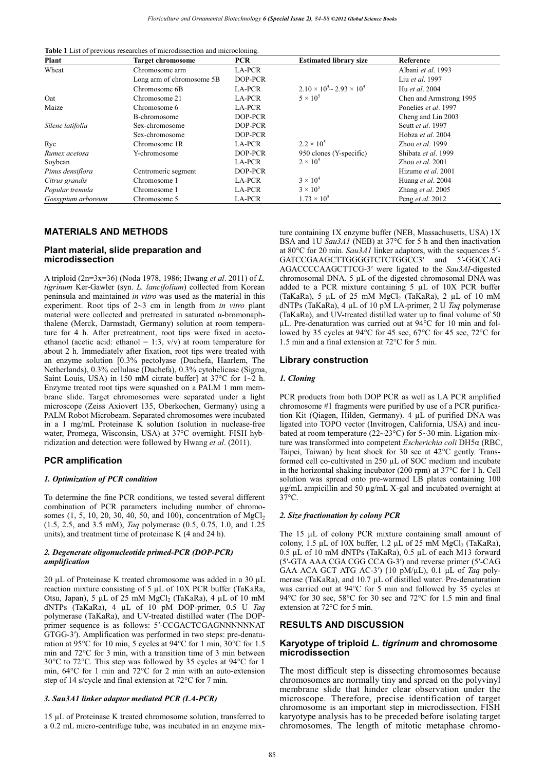**Table 1** List of previous researches of microdissection and microcloning.

| Plant              | <b>Target chromosome</b>  | <b>PCR</b> | <b>Estimated library size</b>           | Reference                 |
|--------------------|---------------------------|------------|-----------------------------------------|---------------------------|
| Wheat              | Chromosome arm            | LA-PCR     |                                         | Albani et al. 1993        |
|                    | Long arm of chromosome 5B | DOP-PCR    |                                         | Liu et al. 1997           |
|                    | Chromosome 6B             | LA-PCR     | $2.10 \times 10^5$ ~ $2.93 \times 10^5$ | Hu et al. 2004            |
| Oat                | Chromosome 21             | LA-PCR     | $5 \times 10^5$                         | Chen and Armstrong 1995   |
| Maize              | Chromosome 6              | LA-PCR     |                                         | Ponelies et al. 1997      |
|                    | B-chromosome              | DOP-PCR    |                                         | Cheng and Lin 2003        |
| Silene latifolia   | Sex-chromosome            | DOP-PCR    |                                         | Scutt et al. 1997         |
|                    | Sex-chromosome            | DOP-PCR    |                                         | Hobza et al. 2004         |
| Rye                | Chromosome 1R             | LA-PCR     | $2.2 \times 10^{5}$                     | Zhou et al. 1999          |
| Rumex acetosa      | Y-chromosome              | DOP-PCR    | 950 clones (Y-specific)                 | Shibata et al. 1999       |
| Soybean            |                           | LA-PCR     | $2 \times 10^5$                         | Zhou <i>et al.</i> $2001$ |
| Pinus densiflora   | Centromeric segment       | DOP-PCR    |                                         | Hizume et al. 2001        |
| Citrus grandis     | Chromosome 1              | LA-PCR     | $3 \times 10^4$                         | Huang et al. 2004         |
| Popular tremula    | Chromosome 1              | LA-PCR     | $3 \times 10^5$                         | Zhang et al. 2005         |
| Gossypium arboreum | Chromosome 5              | LA-PCR     | $1.73 \times 10^{5}$                    | Peng et al. 2012          |

## **MATERIALS AND METHODS**

## **Plant material, slide preparation and microdissection**

A triploid (2n=3x=36) (Noda 1978, 1986; Hwang *et al*. 2011) of *L. tigrinum* Ker-Gawler (syn. *L. lancifolium*) collected from Korean peninsula and maintained *in vitro* was used as the material in this experiment. Root tips of 2~3 cm in length from *in vitro* plant material were collected and pretreated in saturated  $\alpha$ -bromonaphthalene (Merck, Darmstadt, Germany) solution at room temperature for 4 h. After pretreatment, root tips were fixed in acetoethanol (acetic acid: ethanol = 1:3,  $v/v$ ) at room temperature for about 2 h. Immediately after fixation, root tips were treated with an enzyme solution [0.3% pectolyase (Duchefa, Haarlem, The Netherlands), 0.3% cellulase (Duchefa), 0.3% cytohelicase (Sigma, Saint Louis, USA) in 150 mM citrate buffer] at 37°C for 1~2 h. Enzyme treated root tips were squashed on a PALM 1 mm membrane slide. Target chromosomes were separated under a light microscope (Zeiss Axiovert 135, Oberkochen, Germany) using a PALM Robot Microbeam. Separated chromosomes were incubated in a 1 mg/mL Proteinase K solution (solution in nuclease-free water, Promega, Wisconsin, USA) at 37°C overnight. FISH hybridization and detection were followed by Hwang *et al*. (2011).

## **PCR amplification**

#### *1. Optimization of PCR condition*

To determine the fine PCR conditions, we tested several different combination of PCR parameters including number of chromosomes  $(1, 5, 10, 20, 30, 40, 50, \text{ and } 100)$ , concentration of MgCl<sub>2</sub> (1.5, 2.5, and 3.5 mM), *Taq* polymerase (0.5, 0.75, 1.0, and 1.25 units), and treatment time of proteinase K (4 and 24 h).

#### *2. Degenerate oligonucleotide primed-PCR (DOP-PCR) amplification*

20 μL of Proteinase K treated chromosome was added in a 30 μL reaction mixture consisting of 5 μL of 10X PCR buffer (TaKaRa, Otsu, Japan), 5 μL of 25 mM MgCl<sub>2</sub> (TaKaRa), 4 μL of 10 mM dNTPs (TaKaRa), 4 μL of 10 pM DOP-primer, 0.5 U *Taq* polymerase (TaKaRa), and UV-treated distilled water (The DOPprimer sequence is as follows: 5-CCGACTCGAGNNNNNNAT GTGG-3). Amplification was performed in two steps: pre-denaturation at 95°C for 10 min, 5 cycles at 94°C for 1 min, 30°C for 1.5 min and 72°C for 3 min, with a transition time of 3 min between 30°C to 72°C. This step was followed by 35 cycles at 94°C for 1 min, 64°C for 1 min and 72°C for 2 min with an auto-extension step of 14 s/cycle and final extension at 72°C for 7 min.

#### *3. Sau3A1 linker adaptor mediated PCR (LA-PCR)*

15 μL of Proteinase K treated chromosome solution, transferred to a 0.2 mL micro-centrifuge tube, was incubated in an enzyme mixture containing 1X enzyme buffer (NEB, Massachusetts, USA) 1X BSA and 1U *Sau3A1* (NEB) at 37°C for 5 h and then inactivation at 80°C for 20 min. *Sau3A1* linker adaptors, with the sequences 5- GATCCGAAGCTTGGGGTCTCTGGCC3' and 5'-GGCCAG AGACCCCAAGCTTCG-3 were ligated to the *Sau3AI*-digested chromosomal DNA. 5 μL of the digested chromosomal DNA was added to a PCR mixture containing 5 μL of 10X PCR buffer (TaKaRa), 5 μL of 25 mM  $MgCl<sub>2</sub>$  (TaKaRa), 2 μL of 10 mM dNTPs (TaKaRa), 4 μL of 10 pM LA-primer, 2 U *Taq* polymerase (TaKaRa), and UV-treated distilled water up to final volume of 50 μL. Pre-denaturation was carried out at 94°C for 10 min and followed by 35 cycles at 94°C for 45 sec, 67°C for 45 sec, 72°C for 1.5 min and a final extension at 72°C for 5 min.

## **Library construction**

#### *1. Cloning*

PCR products from both DOP PCR as well as LA PCR amplified chromosome #1 fragments were purified by use of a PCR purification Kit (Qiagen, Hilden, Germany). 4 μL of purified DNA was ligated into TOPO vector (Invitrogen, California, USA) and incubated at room temperature (22~23°C) for 5~30 min. Ligation mixture was transformed into competent *Escherichia coli* DH5α (RBC, Taipei, Taiwan) by heat shock for 30 sec at 42°C gently. Transformed cell co-cultivated in 250 μL of SOC medium and incubate in the horizontal shaking incubator (200 rpm) at 37°C for 1 h. Cell solution was spread onto pre-warmed LB plates containing 100 μg/mL ampicillin and 50 μg/mL X-gal and incubated overnight at 37°C.

#### *2. Size fractionation by colony PCR*

The 15 μL of colony PCR mixture containing small amount of colony, 1.5 μL of 10X buffer, 1.2 μL of 25 mM  $MgCl<sub>2</sub>$  (TaKaRa), 0.5 μL of 10 mM dNTPs (TaKaRa), 0.5 μL of each M13 forward (5-GTA AAA CGA CGG CCA G-3) and reverse primer (5-CAG GAA ACA GCT ATG AC-3) (10 pM/μL), 0.1 μL of *Taq* polymerase (TaKaRa), and 10.7 μL of distilled water. Pre-denaturation was carried out at 94°C for 5 min and followed by 35 cycles at 94°C for 30 sec, 58°C for 30 sec and 72°C for 1.5 min and final extension at 72°C for 5 min.

## **RESULTS AND DISCUSSION**

#### **Karyotype of triploid** *L. tigrinum* **and chromosome microdissection**

The most difficult step is dissecting chromosomes because chromosomes are normally tiny and spread on the polyvinyl membrane slide that hinder clear observation under the microscope. Therefore, precise identification of target chromosome is an important step in microdissection. FISH karyotype analysis has to be preceded before isolating target chromosomes. The length of mitotic metaphase chromo-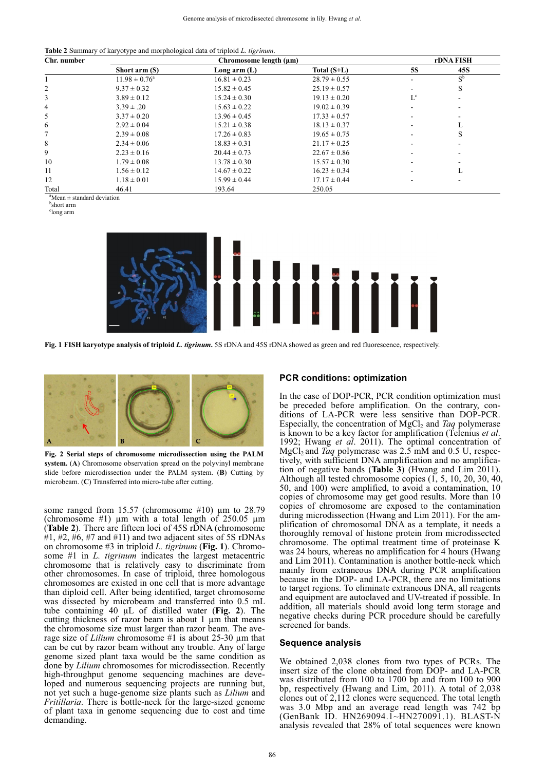**Table 2** Summary of karyotype and morphological data of triploid *L*. *tigrinum*.

| Chr. number | Chromosome length (µm)   |                  |                  |           | rDNA FISH   |  |
|-------------|--------------------------|------------------|------------------|-----------|-------------|--|
|             | Short arm (S)            | Long arm $(L)$   | Total $(S+L)$    | <b>5S</b> | 45S         |  |
|             | $11.98 \pm 0.76^{\circ}$ | $16.81 \pm 0.23$ | $28.79 \pm 0.55$ |           | $S^{\rm b}$ |  |
| 2           | $9.37 \pm 0.32$          | $15.82 \pm 0.45$ | $25.19 \pm 0.57$ |           | S           |  |
| 3           | $3.89 \pm 0.12$          | $15.24 \pm 0.30$ | $19.13 \pm 0.20$ | $L^c$     |             |  |
| 4           | $3.39 \pm .20$           | $15.63 \pm 0.22$ | $19.02 \pm 0.39$ |           |             |  |
| 5           | $3.37 \pm 0.20$          | $13.96 \pm 0.45$ | $17.33 \pm 0.57$ |           |             |  |
| 6           | $2.92 \pm 0.04$          | $15.21 \pm 0.38$ | $18.13 \pm 0.37$ |           |             |  |
|             | $2.39 \pm 0.08$          | $17.26 \pm 0.83$ | $19.65 \pm 0.75$ |           | S           |  |
| 8           | $2.34 \pm 0.06$          | $18.83 \pm 0.31$ | $21.17 \pm 0.25$ |           |             |  |
| 9           | $2.23 \pm 0.16$          | $20.44 \pm 0.73$ | $22.67 \pm 0.86$ |           |             |  |
| 10          | $1.79 \pm 0.08$          | $13.78 \pm 0.30$ | $15.57 \pm 0.30$ |           |             |  |
| 11          | $1.56 \pm 0.12$          | $14.67 \pm 0.22$ | $16.23 \pm 0.34$ |           |             |  |
| 12          | $1.18 \pm 0.01$          | $15.99 \pm 0.44$ | $17.17 \pm 0.44$ |           |             |  |
| Total       | 46.41                    | 193.64           | 250.05           |           |             |  |

a Mean ± standard deviation

b short arm

c long arm



**Fig. 1 FISH karyotype analysis of triploid** *L. tigrinum***.** 5S rDNA and 45S rDNA showed as green and red fluorescence, respectively.



**Fig. 2 Serial steps of chromosome microdissection using the PALM system.** (**A**) Chromosome observation spread on the polyvinyl membrane slide before microdissection under the PALM system. (**B**) Cutting by microbeam. (**C**) Transferred into micro-tube after cutting.

some ranged from 15.57 (chromosome #10) μm to 28.79 (chromosome #1)  $\mu$ m with a total length of 250.05  $\mu$ m (**Table 2**). There are fifteen loci of 45S rDNA (chromosome  $\#1, \#2, \#6, \#7$  and  $\#11$ ) and two adjacent sites of 5S rDNAs on chromosome #3 in triploid *L. tigrinum* (**Fig. 1**). Chromosome #1 in *L. tigrinum* indicates the largest metacentric chromosome that is relatively easy to discriminate from other chromosomes. In case of triploid, three homologous chromosomes are existed in one cell that is more advantage than diploid cell. After being identified, target chromosome was dissected by microbeam and transferred into 0.5 mL tube containing 40 μL of distilled water (**Fig. 2**). The cutting thickness of razor beam is about 1 μm that means the chromosome size must larger than razor beam. The average size of *Lilium* chromosome #1 is about 25-30 μm that can be cut by razor beam without any trouble. Any of large genome sized plant taxa would be the same condition as done by *Lilium* chromosomes for microdissection. Recently high-throughput genome sequencing machines are developed and numerous sequencing projects are running but, not yet such a huge-genome size plants such as *Lilium* and *Fritillaria*. There is bottle-neck for the large-sized genome of plant taxa in genome sequencing due to cost and time demanding.

## **PCR conditions: optimization**

In the case of DOP-PCR, PCR condition optimization must be preceded before amplification. On the contrary, conditions of LA-PCR were less sensitive than DOP-PCR. Especially, the concentration of MgCl<sub>2</sub> and *Taq* polymerase is known to be a key factor for amplification (Telenius *et al*. 1992; Hwang *et al*. 2011). The optimal concentration of MgCl<sub>2</sub> and *Taq* polymerase was 2.5 mM and 0.5 U, respectively, with sufficient DNA amplification and no amplification of negative bands (**Table 3**) (Hwang and Lim 2011). Although all tested chromosome copies (1, 5, 10, 20, 30, 40, 50, and 100) were amplified, to avoid a contamination, 10 copies of chromosome may get good results. More than 10 copies of chromosome are exposed to the contamination during microdissection (Hwang and Lim 2011). For the amplification of chromosomal DNA as a template, it needs a thoroughly removal of histone protein from microdissected chromosome. The optimal treatment time of proteinase K was 24 hours, whereas no amplification for 4 hours (Hwang and Lim 2011). Contamination is another bottle-neck which mainly from extraneous DNA during PCR amplification because in the DOP- and LA-PCR, there are no limitations to target regions. To eliminate extraneous DNA, all reagents and equipment are autoclaved and UV-treated if possible. In addition, all materials should avoid long term storage and negative checks during PCR procedure should be carefully screened for bands.

#### **Sequence analysis**

We obtained 2,038 clones from two types of PCRs. The insert size of the clone obtained from DOP- and LA-PCR was distributed from 100 to 1700 bp and from 100 to 900 bp, respectively (Hwang and Lim, 2011). A total of 2,038 clones out of 2,112 clones were sequenced. The total length was 3.0 Mbp and an average read length was 742 bp (GenBank ID. HN269094.1~HN270091.1). BLAST-N analysis revealed that 28% of total sequences were known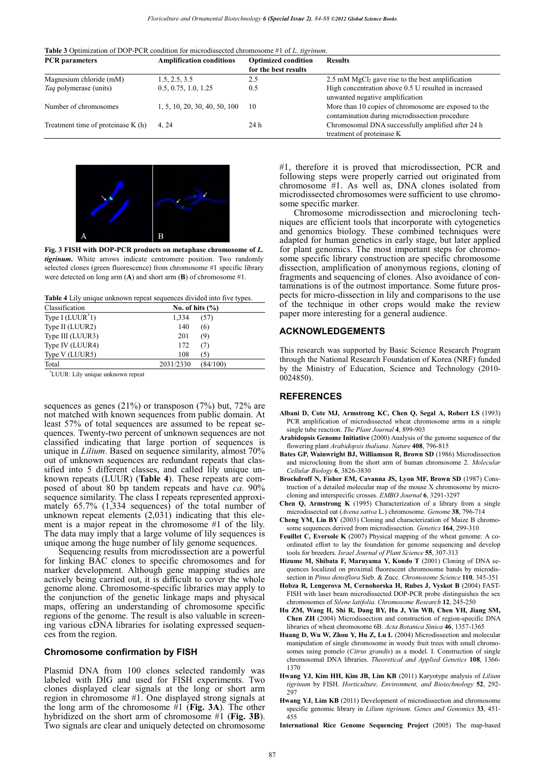| <b>PCR</b> parameters               | <b>Amplification conditions</b> | <b>Optimized condition</b> | <b>Results</b>                                                                                         |
|-------------------------------------|---------------------------------|----------------------------|--------------------------------------------------------------------------------------------------------|
|                                     |                                 | for the best results       |                                                                                                        |
| Magnesium chloride (mM)             | 1.5, 2.5, 3.5                   | 2.5                        | 2.5 mM $MgCl2$ gave rise to the best amplification                                                     |
| <i>Taq</i> polymerase (units)       | 0.5, 0.75, 1.0, 1.25            | 0.5                        | High concentration above 0.5 U resulted in increased<br>unwanted negative amplification                |
| Number of chromosomes               | 1, 5, 10, 20, 30, 40, 50, 100   | -10                        | More than 10 copies of chromosome are exposed to the<br>contamination during microdissection procedure |
| Treatment time of proteinase $K(h)$ | 4.24                            | 24 h                       | Chromosomal DNA successfully amplified after 24 h<br>treatment of proteinase K                         |



**Fig. 3 FISH with DOP-PCR products on metaphase chromosome of** *L. tigrinum***.** White arrows indicate centromere position. Two randomly selected clones (green fluorescence) from chromosome #1 specific library were detected on long arm (**A**) and short arm (**B**) of chromosome #1.

**Table 4** Lily unique unknown repeat sequences divided into five types.

| Classification     |           | No. of hits $(\% )$ |
|--------------------|-----------|---------------------|
| Type I $(LUUR^*1)$ | 1,334     | (57)                |
| Type II (LUUR2)    | 140       | (6)                 |
| Type III (LUUR3)   | 201       | (9)                 |
| Type IV (LUUR4)    | 172       | (7)                 |
| Type V (LUUR5)     | 108       | (5)                 |
| Total              | 2031/2330 | (84/100)            |

\* LUUR: Lily unique unknown repeat

sequences as genes  $(21\%)$  or transposon  $(7\%)$  but,  $72\%$  are not matched with known sequences from public domain. At least 57% of total sequences are assumed to be repeat sequences. Twenty-two percent of unknown sequences are not classified indicating that large portion of sequences is unique in *Lilium*. Based on sequence similarity, almost 70% out of unknown sequences are redundant repeats that classified into 5 different classes, and called lily unique unknown repeats (LUUR) (**Table 4**). These repeats are composed of about 80 bp tandem repeats and have *ca*. 90% sequence similarity. The class I repeats represented approximately 65.7% (1,334 sequences) of the total number of unknown repeat elements (2,031) indicating that this element is a major repeat in the chromosome #1 of the lily. The data may imply that a large volume of lily sequences is unique among the huge number of lily genome sequences.

Sequencing results from microdissection are a powerful for linking BAC clones to specific chromosomes and for marker development. Although gene mapping studies are actively being carried out, it is difficult to cover the whole genome alone. Chromosome-specific libraries may apply to the conjunction of the genetic linkage maps and physical maps, offering an understanding of chromosome specific regions of the genome. The result is also valuable in screening various cDNA libraries for isolating expressed sequences from the region.

#### **Chromosome confirmation by FISH**

Plasmid DNA from 100 clones selected randomly was labeled with DIG and used for FISH experiments. Two clones displayed clear signals at the long or short arm region in chromosome #1. One displayed strong signals at the long arm of the chromosome #1 (**Fig. 3A**). The other hybridized on the short arm of chromosome #1 (**Fig. 3B**). Two signals are clear and uniquely detected on chromosome

#1, therefore it is proved that microdissection, PCR and following steps were properly carried out originated from chromosome #1. As well as, DNA clones isolated from microdissected chromosomes were sufficient to use chromosome specific marker.

Chromosome microdissection and microcloning techniques are efficient tools that incorporate with cytogenetics and genomics biology. These combined techniques were adapted for human genetics in early stage, but later applied for plant genomics. The most important steps for chromosome specific library construction are specific chromosome dissection, amplification of anonymous regions, cloning of fragments and sequencing of clones. Also avoidance of contaminations is of the outmost importance. Some future prospects for micro-dissection in lily and comparisons to the use of the technique in other crops would make the review paper more interesting for a general audience.

#### **ACKNOWLEDGEMENTS**

This research was supported by Basic Science Research Program through the National Research Foundation of Korea (NRF) funded by the Ministry of Education, Science and Technology (2010- 0024850).

## **REFERENCES**

- **Albani D, Cote MJ, Armstrong KC, Chen Q, Segal A, Robert LS** (1993) PCR amplification of microdissected wheat chromosome arms in a simple single tube reaction. *The Plant Journal* **4**, 899-903
- **Arabidopsis Genome Initiative** (2000) Analysis of the genome sequence of the flowering plant *Arabidopsis thaliana*. *Nature* **408**, 796-815
- **Bates GP, Wainwright BJ, Williamson R, Brown SD** (1986) Microdissection and microcloning from the short arm of human chromosome 2. *Molecular Cellular Biology* **6**, 3826-3830
- **Brockdroff N, Fisher EM, Cavanna JS, Lyon MF, Brown SD** (1987) Construction of a detailed molecular map of the mouse X chromosome by microcloning and interspecific crosses. *EMBO Journal* **6**, 3291-3297
- **Chen Q, Armstrong K** (1995) Characterization of a library from a single microdissected oat (*Avena sativa* L.) chromosome. *Genome* **38**, 796-714
- **Cheng YM, Lin BY** (2003) Cloning and characterization of Maize B chromosome sequences derived from microdissection. *Genetics* **164**, 299-310
- **Feuillet C, Eversole K** (2007) Physical mapping of the wheat genome: A coordinated effort to lay the foundation for genome sequencing and develop tools for breeders. *Israel Journal of Plant Science* **55**, 307-313
- **Hizume M, Shibata F, Maruyama Y, Kondo T** (2001) Cloning of DNA sequences localized on proximal fluorescent chromosome bands by microdissection in *Pinus densiflora* Sieb. & Zucc. *Chromosome Science* **110**, 345-351
- **Hobza R, Lengerova M, Cernohorska H, Rubes J, Vyskot B** (2004) FAST-FISH with laser beam microdissected DOP-PCR probe distinguishes the sex chromosomes of *Silene latifolia*. *Chromosome Research* **12**, 245-250
- **Hu ZM, Wang H, Shi R, Dang BY, Hu J, Yin WB, Chen YH, Jiang SM, Chen ZH** (2004) Microdissection and construction of region-specific DNA libraries of wheat chromosome 6B. *Acta Botanica Sinica* **46**, 1357-1365
- **Huang D, Wu W, Zhou Y, Hu Z, Lu L** (2004) Microdissection and molecular manipulation of single chromosome in woody fruit trees with small chromosomes using pomelo (*Citrus grandis*) as a model. I. Construction of single chromosomal DNA libraries. *Theoretical and Applied Genetics* **108**, 1366- 1370
- **Hwang YJ, Kim HH, Kim JB, Lim KB** (2011) Karyotype analysis of *Lilium tigrinum* by FISH. *Horticulture, Environment, and Biotechnology* **52**, 292- 297
- **Hwang YJ, Lim KB** (2011) Development of microdissection and chromosome specific genomic library in *Lilium tigrinum*. *Genes and Genomics* **33**, 451- 455

**International Rice Genome Sequencing Project** (2005) The map-based